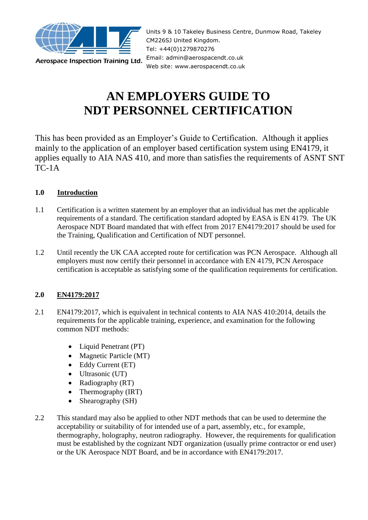

Aerospace Inspection Training Ltd.

Units 9 & 10 Takeley Business Centre, Dunmow Road, Takeley CM226SJ United Kingdom. Tel: +44(0)1279870276 Email: admin@aerospacendt.co.uk Web site: www.aerospacendt.co.uk

# **AN EMPLOYERS GUIDE TO NDT PERSONNEL CERTIFICATION**

This has been provided as an Employer's Guide to Certification. Although it applies mainly to the application of an employer based certification system using EN4179, it applies equally to AIA NAS 410, and more than satisfies the requirements of ASNT SNT  $TC-1A$ 

# **1.0 Introduction**

- 1.1 Certification is a written statement by an employer that an individual has met the applicable requirements of a standard. The certification standard adopted by EASA is EN 4179. The UK Aerospace NDT Board mandated that with effect from 2017 EN4179:2017 should be used for the Training, Qualification and Certification of NDT personnel.
- 1.2 Until recently the UK CAA accepted route for certification was PCN Aerospace. Although all employers must now certify their personnel in accordance with EN 4179, PCN Aerospace certification is acceptable as satisfying some of the qualification requirements for certification.

# **2.0 EN4179:2017**

- 2.1 EN4179:2017, which is equivalent in technical contents to AIA NAS 410:2014, details the requirements for the applicable training, experience, and examination for the following common NDT methods:
	- Liquid Penetrant (PT)
	- Magnetic Particle (MT)
	- Eddy Current (ET)
	- Ultrasonic (UT)
	- Radiography (RT)
	- Thermography (IRT)
	- Shearography (SH)
- 2.2 This standard may also be applied to other NDT methods that can be used to determine the acceptability or suitability of for intended use of a part, assembly, etc., for example, thermography, holography, neutron radiography. However, the requirements for qualification must be established by the cognizant NDT organization (usually prime contractor or end user) or the UK Aerospace NDT Board, and be in accordance with EN4179:2017.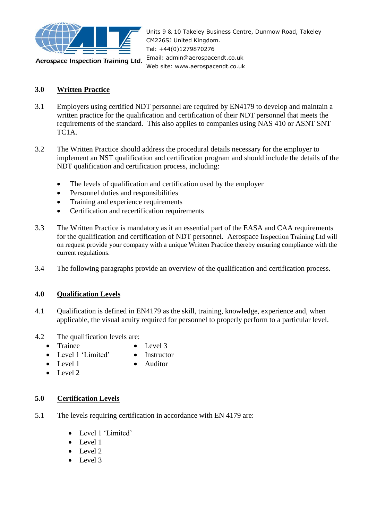

Units 9 & 10 Takeley Business Centre, Dunmow Road, Takeley CM226SJ United Kingdom. Tel: +44(0)1279870276 Email: admin@aerospacendt.co.uk Web site: www.aerospacendt.co.uk

# **3.0 Written Practice**

- 3.1 Employers using certified NDT personnel are required by EN4179 to develop and maintain a written practice for the qualification and certification of their NDT personnel that meets the requirements of the standard. This also applies to companies using NAS 410 or ASNT SNT TC1A.
- 3.2 The Written Practice should address the procedural details necessary for the employer to implement an NST qualification and certification program and should include the details of the NDT qualification and certification process, including:
	- The levels of qualification and certification used by the employer
	- Personnel duties and responsibilities
	- Training and experience requirements
	- Certification and recertification requirements
- 3.3 The Written Practice is mandatory as it an essential part of the EASA and CAA requirements for the qualification and certification of NDT personnel. Aerospace Inspection Training Ltd will on request provide your company with a unique Written Practice thereby ensuring compliance with the current regulations.
- 3.4 The following paragraphs provide an overview of the qualification and certification process.

#### **4.0 Qualification Levels**

- 4.1 Qualification is defined in EN4179 as the skill, training, knowledge, experience and, when applicable, the visual acuity required for personnel to properly perform to a particular level.
- 4.2 The qualification levels are:
	- Trainee
- Level 3
- Level 1 'Limited'
	- **Instructor** • Auditor
- Level 1 • Level 2
- 
- 

# **5.0 Certification Levels**

- 5.1 The levels requiring certification in accordance with EN 4179 are:
	- Level 1 'Limited'
	- Level 1
	- Level 2
	- Level 3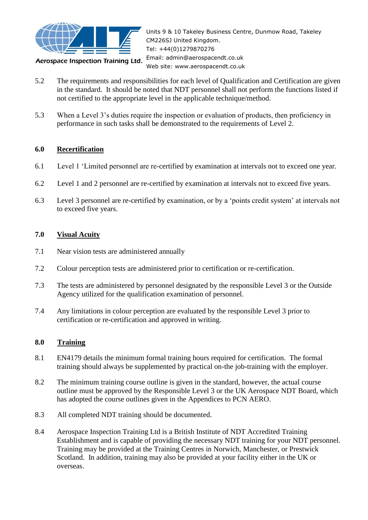

Aerospace Inspection Training Ltd.

Units 9 & 10 Takeley Business Centre, Dunmow Road, Takeley CM226SJ United Kingdom. Tel: +44(0)1279870276 Email: admin@aerospacendt.co.uk Web site: www.aerospacendt.co.uk

- 5.2 The requirements and responsibilities for each level of Qualification and Certification are given in the standard. It should be noted that NDT personnel shall not perform the functions listed if not certified to the appropriate level in the applicable technique/method.
- 5.3 When a Level 3's duties require the inspection or evaluation of products, then proficiency in performance in such tasks shall be demonstrated to the requirements of Level 2.

# **6.0 Recertification**

- 6.1 Level 1 'Limited personnel are re-certified by examination at intervals not to exceed one year.
- 6.2 Level 1 and 2 personnel are re-certified by examination at intervals not to exceed five years.
- 6.3 Level 3 personnel are re-certified by examination, or by a 'points credit system' at intervals not to exceed five years.

#### **7.0 Visual Acuity**

- 7.1 Near vision tests are administered annually
- 7.2 Colour perception tests are administered prior to certification or re-certification.
- 7.3 The tests are administered by personnel designated by the responsible Level 3 or the Outside Agency utilized for the qualification examination of personnel.
- 7.4 Any limitations in colour perception are evaluated by the responsible Level 3 prior to certification or re-certification and approved in writing.

# **8.0 Training**

- 8.1 EN4179 details the minimum formal training hours required for certification. The formal training should always be supplemented by practical on-the job-training with the employer.
- 8.2 The minimum training course outline is given in the standard, however, the actual course outline must be approved by the Responsible Level 3 or the UK Aerospace NDT Board, which has adopted the course outlines given in the Appendices to PCN AERO.
- 8.3 All completed NDT training should be documented.
- 8.4 Aerospace Inspection Training Ltd is a British Institute of NDT Accredited Training Establishment and is capable of providing the necessary NDT training for your NDT personnel. Training may be provided at the Training Centres in Norwich, Manchester, or Prestwick Scotland. In addition, training may also be provided at your facility either in the UK or overseas.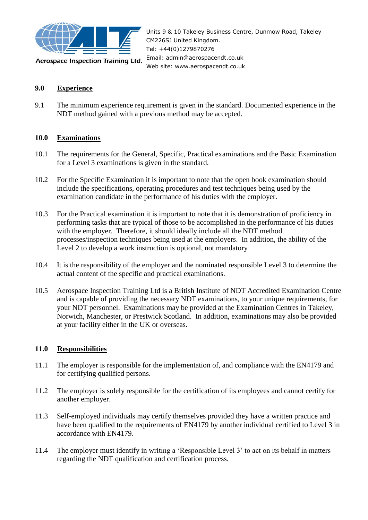

Aerospace Inspection Training Ltd.

Units 9 & 10 Takeley Business Centre, Dunmow Road, Takeley CM226SJ United Kingdom. Tel: +44(0)1279870276 Email: admin@aerospacendt.co.uk Web site: www.aerospacendt.co.uk

#### **9.0 Experience**

9.1 The minimum experience requirement is given in the standard. Documented experience in the NDT method gained with a previous method may be accepted.

#### **10.0 Examinations**

- 10.1 The requirements for the General, Specific, Practical examinations and the Basic Examination for a Level 3 examinations is given in the standard.
- 10.2 For the Specific Examination it is important to note that the open book examination should include the specifications, operating procedures and test techniques being used by the examination candidate in the performance of his duties with the employer.
- 10.3 For the Practical examination it is important to note that it is demonstration of proficiency in performing tasks that are typical of those to be accomplished in the performance of his duties with the employer. Therefore, it should ideally include all the NDT method processes/inspection techniques being used at the employers. In addition, the ability of the Level 2 to develop a work instruction is optional, not mandatory
- 10.4 It is the responsibility of the employer and the nominated responsible Level 3 to determine the actual content of the specific and practical examinations.
- 10.5 Aerospace Inspection Training Ltd is a British Institute of NDT Accredited Examination Centre and is capable of providing the necessary NDT examinations, to your unique requirements, for your NDT personnel. Examinations may be provided at the Examination Centres in Takeley, Norwich, Manchester, or Prestwick Scotland. In addition, examinations may also be provided at your facility either in the UK or overseas.

#### **11.0 Responsibilities**

- 11.1 The employer is responsible for the implementation of, and compliance with the EN4179 and for certifying qualified persons.
- 11.2 The employer is solely responsible for the certification of its employees and cannot certify for another employer.
- 11.3 Self-employed individuals may certify themselves provided they have a written practice and have been qualified to the requirements of EN4179 by another individual certified to Level 3 in accordance with EN4179.
- 11.4 The employer must identify in writing a 'Responsible Level 3' to act on its behalf in matters regarding the NDT qualification and certification process.